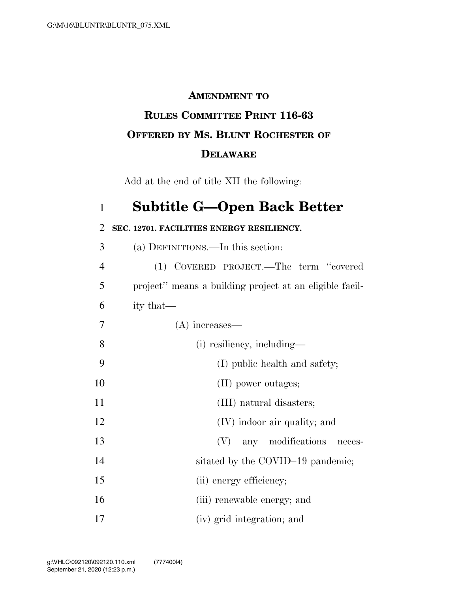## **AMENDMENT TO RULES COMMITTEE PRINT 116-63 OFFERED BY MS. BLUNT ROCHESTER OF DELAWARE**

Add at the end of title XII the following:

## 1 **Subtitle G—Open Back Better**  2 **SEC. 12701. FACILITIES ENERGY RESILIENCY.**  3 (a) DEFINITIONS.—In this section: 4 (1) COVERED PROJECT.—The term ''covered 5 project'' means a building project at an eligible facil-6 ity that— 7 (A) increases— 8 (i) resiliency, including— 9 (I) public health and safety; 10 (II) power outages; 11 (III) natural disasters; 12 (IV) indoor air quality; and 13 (V) any modifications neces-14 sitated by the COVID–19 pandemic; 15 (ii) energy efficiency; 16 (iii) renewable energy; and

17 (iv) grid integration; and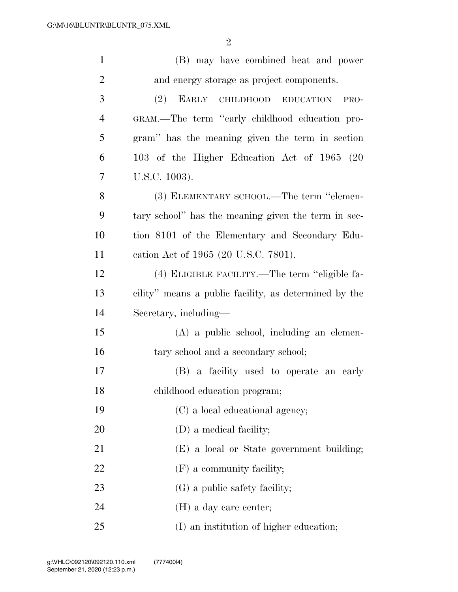| $\mathbf{1}$   | (B) may have combined heat and power                  |
|----------------|-------------------------------------------------------|
| $\overline{c}$ | and energy storage as project components.             |
| 3              | (2)<br>EARLY<br>CHILDHOOD EDUCATION<br>PRO-           |
| $\overline{4}$ | GRAM.—The term "early childhood education pro-        |
| 5              | gram" has the meaning given the term in section       |
| 6              | 103 of the Higher Education Act of 1965 (20           |
| 7              | U.S.C. 1003).                                         |
| 8              | (3) ELEMENTARY SCHOOL.—The term "elemen-              |
| 9              | tary school" has the meaning given the term in sec-   |
| 10             | tion 8101 of the Elementary and Secondary Edu-        |
| 11             | cation Act of 1965 (20 U.S.C. 7801).                  |
| 12             | (4) ELIGIBLE FACILITY.—The term "eligible fa-         |
| 13             | cility" means a public facility, as determined by the |
| 14             | Secretary, including—                                 |
| 15             | $(A)$ a public school, including an elemen-           |
| 16             | tary school and a secondary school;                   |
| 17             | (B) a facility used to operate an early               |
| 18             | childhood education program;                          |
| 19             | (C) a local educational agency;                       |
| 20             | (D) a medical facility;                               |
| 21             | (E) a local or State government building;             |
| 22             | $(F)$ a community facility;                           |
| 23             | (G) a public safety facility;                         |
| 24             | $(H)$ a day care center;                              |
| 25             | (I) an institution of higher education;               |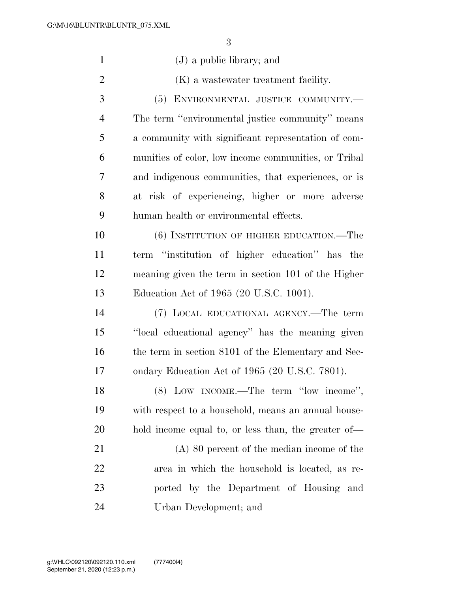| $\mathbf{1}$   | $(J)$ a public library; and                          |
|----------------|------------------------------------------------------|
| $\overline{2}$ | (K) a wastewater treatment facility.                 |
| 3              | ENVIRONMENTAL JUSTICE COMMUNITY.-<br>(5)             |
| $\overline{4}$ | The term "environmental justice community" means     |
| 5              | a community with significant representation of com-  |
| 6              | munities of color, low income communities, or Tribal |
| 7              | and indigenous communities, that experiences, or is  |
| 8              | at risk of experiencing, higher or more adverse      |
| 9              | human health or environmental effects.               |
| 10             | (6) INSTITUTION OF HIGHER EDUCATION.—The             |
| 11             | term "institution of higher education" has the       |
| 12             | meaning given the term in section 101 of the Higher  |
| 13             | Education Act of 1965 (20 U.S.C. 1001).              |
| 14             | (7) LOCAL EDUCATIONAL AGENCY.—The term               |
| 15             | "local educational agency" has the meaning given     |
| 16             | the term in section 8101 of the Elementary and Sec-  |
| 17             | ondary Education Act of 1965 (20 U.S.C. 7801).       |
| 18             | (8) LOW INCOME.—The term "low income",               |
| 19             | with respect to a household, means an annual house-  |
| 20             | hold income equal to, or less than, the greater of-  |
| 21             | $(A)$ 80 percent of the median income of the         |
| 22             | area in which the household is located, as re-       |
| 23             | ported by the Department of Housing and              |
| 24             | Urban Development; and                               |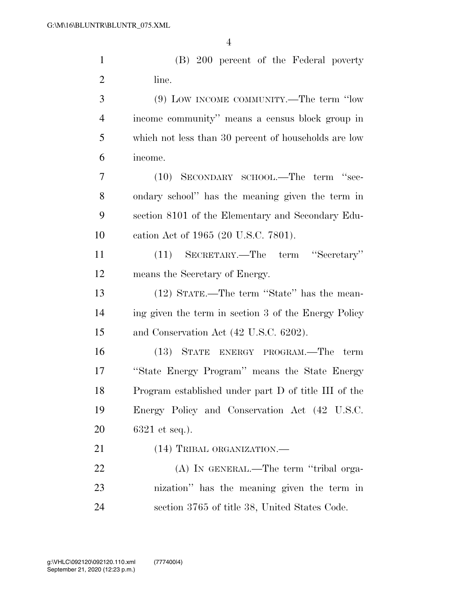(B) 200 percent of the Federal poverty 2 line.

 (9) LOW INCOME COMMUNITY.—The term ''low income community'' means a census block group in which not less than 30 percent of households are low income.

 (10) SECONDARY SCHOOL.—The term ''sec- ondary school'' has the meaning given the term in section 8101 of the Elementary and Secondary Edu-cation Act of 1965 (20 U.S.C. 7801).

 (11) SECRETARY.—The term ''Secretary'' means the Secretary of Energy.

 (12) STATE.—The term ''State'' has the mean- ing given the term in section 3 of the Energy Policy and Conservation Act (42 U.S.C. 6202).

 (13) STATE ENERGY PROGRAM.—The term ''State Energy Program'' means the State Energy Program established under part D of title III of the Energy Policy and Conservation Act (42 U.S.C. 6321 et seq.).

21 (14) TRIBAL ORGANIZATION.—

22 (A) In GENERAL.—The term "tribal orga- nization'' has the meaning given the term in section 3765 of title 38, United States Code.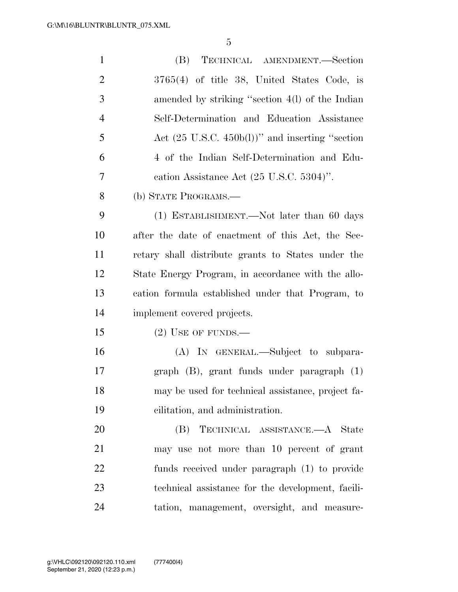| $\mathbf{1}$   | TECHNICAL AMENDMENT.-Section<br>(B)                         |
|----------------|-------------------------------------------------------------|
| $\overline{2}$ | $3765(4)$ of title 38, United States Code, is               |
| 3              | amended by striking "section 4(1) of the Indian             |
| $\overline{4}$ | Self-Determination and Education Assistance                 |
| 5              | Act $(25 \text{ U.S.C. } 450b(l))$ " and inserting "section |
| 6              | 4 of the Indian Self-Determination and Edu-                 |
| 7              | cation Assistance Act $(25 \text{ U.S.C. } 5304)$ ".        |
| 8              | (b) STATE PROGRAMS.—                                        |
| 9              | (1) ESTABLISHMENT.—Not later than 60 days                   |
| 10             | after the date of enactment of this Act, the Sec-           |
| 11             | retary shall distribute grants to States under the          |
| 12             | State Energy Program, in accordance with the allo-          |
| 13             | cation formula established under that Program, to           |
| 14             | implement covered projects.                                 |
| 15             | $(2)$ USE OF FUNDS.—                                        |
| 16             | (A) IN GENERAL.—Subject to subpara-                         |
| 17             | $graph$ (B), grant funds under paragraph $(1)$              |
| 18             | may be used for technical assistance, project fa-           |
| 19             | cilitation, and administration.                             |
| 20             | TECHNICAL ASSISTANCE.—A State<br>(B)                        |
| 21             | may use not more than 10 percent of grant                   |
| 22             | funds received under paragraph (1) to provide               |
| 23             | technical assistance for the development, facili-           |
| 24             | tation, management, oversight, and measure-                 |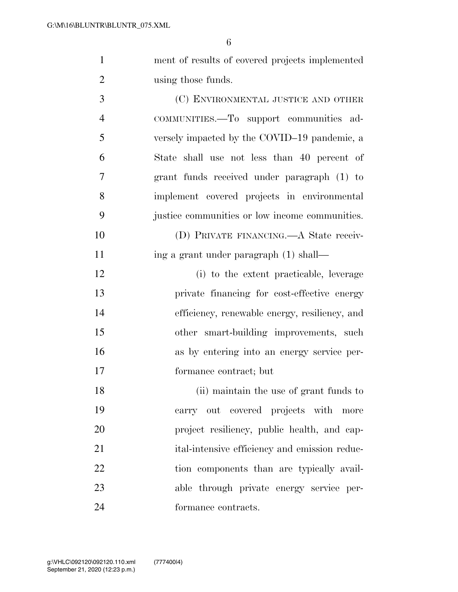| $\mathbf{1}$   | ment of results of covered projects implemented |
|----------------|-------------------------------------------------|
| $\overline{2}$ | using those funds.                              |
| 3              | (C) ENVIRONMENTAL JUSTICE AND OTHER             |
| $\overline{4}$ | COMMUNITIES.-To support communities ad-         |
| 5              | versely impacted by the COVID-19 pandemic, a    |
| 6              | State shall use not less than 40 percent of     |
| 7              | grant funds received under paragraph (1) to     |
| 8              | implement covered projects in environmental     |
| 9              | justice communities or low income communities.  |
| 10             | (D) PRIVATE FINANCING.—A State receiv-          |
| 11             | ing a grant under paragraph (1) shall—          |
| 12             | (i) to the extent practicable, leverage         |
| 13             | private financing for cost-effective energy     |
| 14             | efficiency, renewable energy, resiliency, and   |
| 15             | other smart-building improvements, such         |
| 16             | as by entering into an energy service per-      |
| 17             | formance contract; but                          |
| 18             | (ii) maintain the use of grant funds to         |
| 19             | carry out covered projects with more            |
| 20             | project resiliency, public health, and cap-     |
| 21             | ital-intensive efficiency and emission reduc-   |
| 22             | tion components than are typically avail-       |
| 23             | able through private energy service per-        |
| 24             | formance contracts.                             |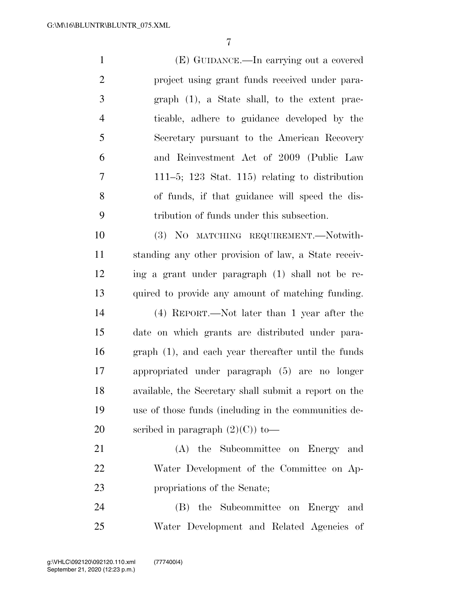(E) GUIDANCE.—In carrying out a covered project using grant funds received under para- graph (1), a State shall, to the extent prac- ticable, adhere to guidance developed by the Secretary pursuant to the American Recovery and Reinvestment Act of 2009 (Public Law 111–5; 123 Stat. 115) relating to distribution of funds, if that guidance will speed the dis- tribution of funds under this subsection. (3) NO MATCHING REQUIREMENT.—Notwith- standing any other provision of law, a State receiv- ing a grant under paragraph (1) shall not be re- quired to provide any amount of matching funding. (4) REPORT.—Not later than 1 year after the date on which grants are distributed under para- graph (1), and each year thereafter until the funds appropriated under paragraph (5) are no longer available, the Secretary shall submit a report on the use of those funds (including in the communities de-20 scribed in paragraph  $(2)(C)$  to — (A) the Subcommittee on Energy and

 Water Development of the Committee on Ap-propriations of the Senate;

 (B) the Subcommittee on Energy and Water Development and Related Agencies of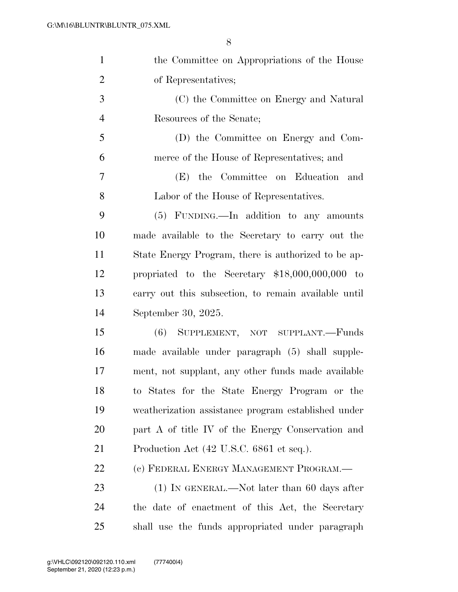| $\mathbf{1}$   | the Committee on Appropriations of the House         |
|----------------|------------------------------------------------------|
| $\overline{2}$ | of Representatives;                                  |
| 3              | (C) the Committee on Energy and Natural              |
| $\overline{4}$ | Resources of the Senate;                             |
| 5              | (D) the Committee on Energy and Com-                 |
| 6              | merce of the House of Representatives; and           |
| $\tau$         | (E) the Committee on Education and                   |
| 8              | Labor of the House of Representatives.               |
| 9              | (5) FUNDING.—In addition to any amounts              |
| 10             | made available to the Secretary to carry out the     |
| 11             | State Energy Program, there is authorized to be ap-  |
| 12             | propriated to the Secretary $$18,000,000,000$ to     |
| 13             | carry out this subsection, to remain available until |
| 14             | September 30, 2025.                                  |
| 15             | (6) SUPPLEMENT, NOT SUPPLANT.-Funds                  |
| 16             | made available under paragraph (5) shall supple-     |
| 17             | ment, not supplant, any other funds made available   |
| 18             | to States for the State Energy Program or the        |
| 19             | weatherization assistance program established under  |
| 20             | part A of title IV of the Energy Conservation and    |
| 21             | Production Act (42 U.S.C. 6861 et seq.).             |
| 22             | (c) FEDERAL ENERGY MANAGEMENT PROGRAM.-              |
| 23             | $(1)$ In GENERAL.—Not later than 60 days after       |
| 24             | the date of enactment of this Act, the Secretary     |
| 25             | shall use the funds appropriated under paragraph     |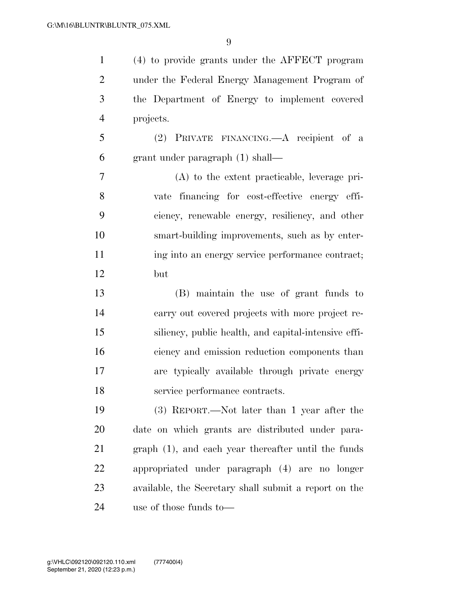(4) to provide grants under the AFFECT program under the Federal Energy Management Program of the Department of Energy to implement covered projects. (2) PRIVATE FINANCING.—A recipient of a grant under paragraph (1) shall— (A) to the extent practicable, leverage pri- vate financing for cost-effective energy effi- ciency, renewable energy, resiliency, and other smart-building improvements, such as by enter-11 ing into an energy service performance contract; but (B) maintain the use of grant funds to carry out covered projects with more project re- siliency, public health, and capital-intensive effi- ciency and emission reduction components than are typically available through private energy service performance contracts. (3) REPORT.—Not later than 1 year after the date on which grants are distributed under para- graph (1), and each year thereafter until the funds appropriated under paragraph (4) are no longer available, the Secretary shall submit a report on the use of those funds to—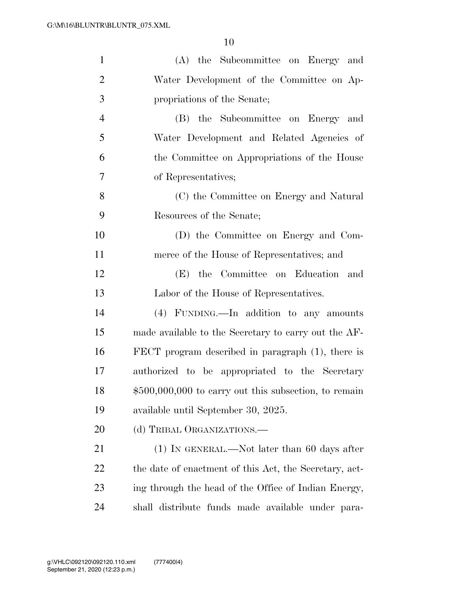| $\mathbf{1}$   | (A) the Subcommittee on Energy and                     |
|----------------|--------------------------------------------------------|
| $\overline{2}$ | Water Development of the Committee on Ap-              |
| 3              | propriations of the Senate;                            |
| $\overline{4}$ | (B) the Subcommittee on Energy and                     |
| 5              | Water Development and Related Agencies of              |
| 6              | the Committee on Appropriations of the House           |
| 7              | of Representatives;                                    |
| 8              | (C) the Committee on Energy and Natural                |
| 9              | Resources of the Senate;                               |
| 10             | (D) the Committee on Energy and Com-                   |
| 11             | merce of the House of Representatives; and             |
| 12             | (E) the Committee on Education and                     |
| 13             | Labor of the House of Representatives.                 |
| 14             | (4) FUNDING.—In addition to any amounts                |
| 15             | made available to the Secretary to carry out the AF-   |
| 16             | FECT program described in paragraph $(1)$ , there is   |
| 17             | authorized to be appropriated to the Secretary         |
| 18             | $$500,000,000$ to carry out this subsection, to remain |
| 19             | available until September 30, 2025.                    |
| 20             | (d) TRIBAL ORGANIZATIONS.—                             |
| 21             | $(1)$ In GENERAL.—Not later than 60 days after         |
| 22             | the date of enactment of this Act, the Secretary, act- |
| 23             | ing through the head of the Office of Indian Energy,   |
| 24             | shall distribute funds made available under para-      |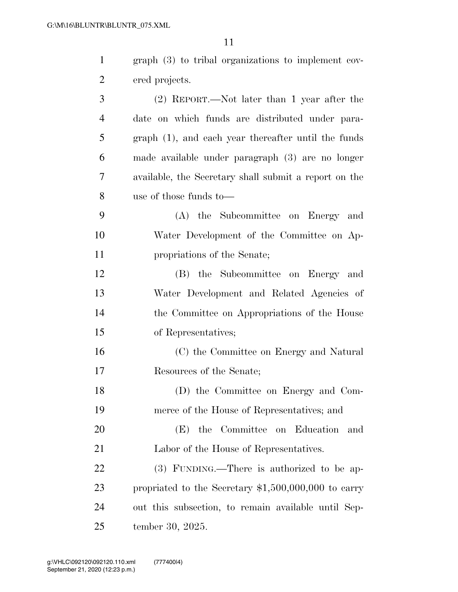| $\mathbf{1}$   | $graph(3)$ to tribal organizations to implement cov-  |
|----------------|-------------------------------------------------------|
| $\overline{2}$ | ered projects.                                        |
| 3              | (2) REPORT.—Not later than 1 year after the           |
| $\overline{4}$ | date on which funds are distributed under para-       |
| 5              | graph (1), and each year thereafter until the funds   |
| 6              | made available under paragraph (3) are no longer      |
| 7              | available, the Secretary shall submit a report on the |
| 8              | use of those funds to—                                |
| 9              | the Subcommittee on Energy and<br>(A)                 |
| 10             | Water Development of the Committee on Ap-             |
| 11             | propriations of the Senate;                           |
| 12             | (B) the Subcommittee on Energy and                    |
| 13             | Water Development and Related Agencies of             |
| 14             | the Committee on Appropriations of the House          |
| 15             | of Representatives;                                   |
| 16             | (C) the Committee on Energy and Natural               |
| 17             | Resources of the Senate;                              |
| 18             | (D) the Committee on Energy and Com-                  |
| 19             | merce of the House of Representatives; and            |
| 20             | the Committee on Education<br>(E)<br>and              |
| 21             | Labor of the House of Representatives.                |
| 22             | (3) FUNDING.—There is authorized to be ap-            |
| 23             | propriated to the Secretary $$1,500,000,000$ to carry |
| 24             | out this subsection, to remain available until Sep-   |
| 25             | tember 30, 2025.                                      |
|                |                                                       |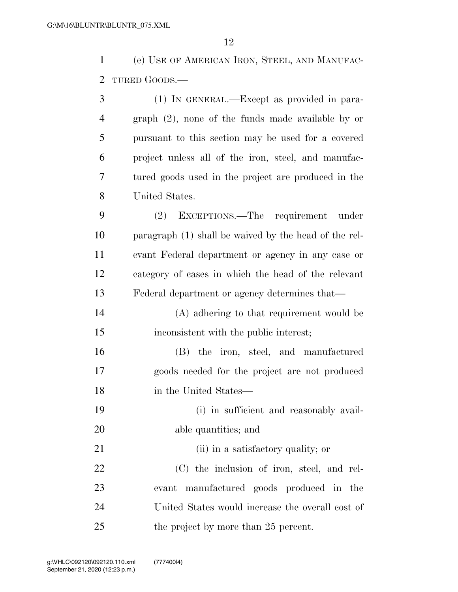(e) USE OF AMERICAN IRON, STEEL, AND MANUFAC-TURED GOODS.—

| 3              | (1) IN GENERAL.—Except as provided in para-           |
|----------------|-------------------------------------------------------|
| $\overline{4}$ | $graph (2)$ , none of the funds made available by or  |
| 5              | pursuant to this section may be used for a covered    |
| 6              | project unless all of the iron, steel, and manufac-   |
| 7              | tured goods used in the project are produced in the   |
| 8              | United States.                                        |
| 9              | (2) EXCEPTIONS.—The requirement under                 |
| 10             | paragraph (1) shall be waived by the head of the rel- |
| 11             | evant Federal department or agency in any case or     |
| 12             | category of cases in which the head of the relevant   |
| 13             | Federal department or agency determines that—         |
| 14             | (A) adhering to that requirement would be             |
| 15             | inconsistent with the public interest;                |
| 16             | (B) the iron, steel, and manufactured                 |
| 17             | goods needed for the project are not produced         |
| 18             | in the United States—                                 |
| 19             | (i) in sufficient and reasonably avail-               |
| 20             | able quantities; and                                  |
| 21             | (ii) in a satisfactory quality; or                    |
| 22             | (C) the inclusion of iron, steel, and rel-            |
| 23             | evant manufactured goods produced in the              |
| 24             | United States would increase the overall cost of      |
| 25             | the project by more than 25 percent.                  |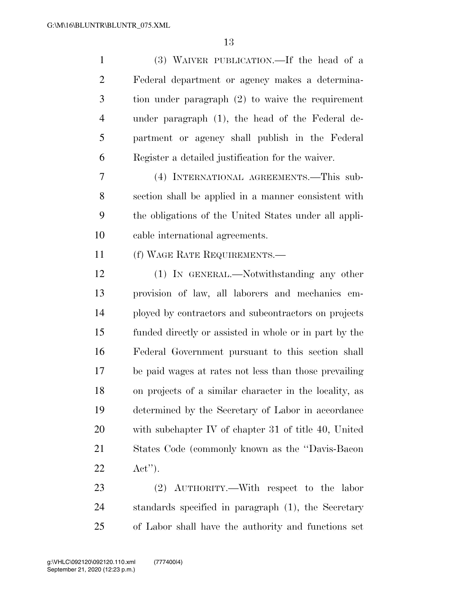| $\mathbf{1}$   | (3) WAIVER PUBLICATION.—If the head of a               |
|----------------|--------------------------------------------------------|
| $\overline{2}$ | Federal department or agency makes a determina-        |
| 3              | tion under paragraph $(2)$ to waive the requirement    |
| $\overline{4}$ | under paragraph (1), the head of the Federal de-       |
| 5              | partment or agency shall publish in the Federal        |
| 6              | Register a detailed justification for the waiver.      |
| 7              | (4) INTERNATIONAL AGREEMENTS.—This sub-                |
| 8              | section shall be applied in a manner consistent with   |
| 9              | the obligations of the United States under all appli-  |
| 10             | cable international agreements.                        |
| 11             | (f) WAGE RATE REQUIREMENTS.—                           |
| 12             | (1) IN GENERAL.—Notwithstanding any other              |
| 13             | provision of law, all laborers and mechanics em-       |
| 14             | ployed by contractors and subcontractors on projects   |
| 15             | funded directly or assisted in whole or in part by the |
| 16             | Federal Government pursuant to this section shall      |
| 17             | be paid wages at rates not less than those prevailing  |
| 18             | on projects of a similar character in the locality, as |
| 19             | determined by the Secretary of Labor in accordance     |
| 20             | with subchapter IV of chapter 31 of title 40, United   |
| 21             | States Code (commonly known as the "Davis-Bacon"       |
| 22             | $\text{Act}^{\prime\prime}$ .                          |
| 23             | (2) AUTHORITY.—With respect to the labor               |
| 24             | standards specified in paragraph (1), the Secretary    |

of Labor shall have the authority and functions set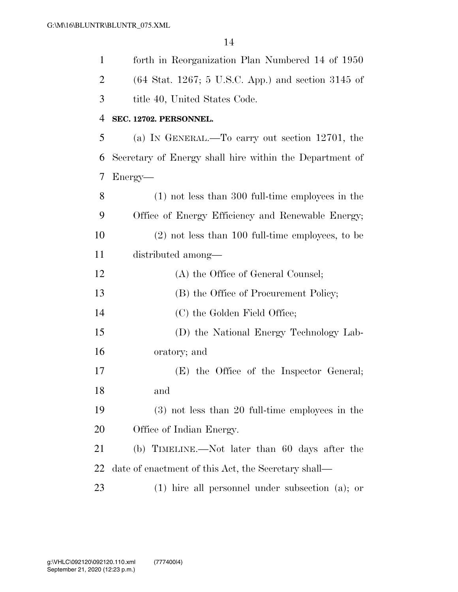| $\mathbf{1}$   | forth in Reorganization Plan Numbered 14 of 1950                       |
|----------------|------------------------------------------------------------------------|
| $\overline{2}$ | $(64 \text{ Stat. } 1267; 5 \text{ U.S.C. } App.)$ and section 3145 of |
| 3              | title 40, United States Code.                                          |
| 4              | SEC. 12702. PERSONNEL.                                                 |
| 5              | (a) IN GENERAL.—To carry out section 12701, the                        |
| 6              | Secretary of Energy shall hire within the Department of                |
| 7              | Energy—                                                                |
| 8              | $(1)$ not less than 300 full-time employees in the                     |
| 9              | Office of Energy Efficiency and Renewable Energy;                      |
| 10             | $(2)$ not less than 100 full-time employees, to be                     |
| 11             | distributed among—                                                     |
| 12             | (A) the Office of General Counsel;                                     |
| 13             | (B) the Office of Procurement Policy;                                  |
| 14             | (C) the Golden Field Office;                                           |
| 15             | (D) the National Energy Technology Lab-                                |
| 16             | oratory; and                                                           |
| 17             | (E) the Office of the Inspector General;                               |
| 18             | and                                                                    |
| 19             | $(3)$ not less than 20 full-time employees in the                      |
| 20             | Office of Indian Energy.                                               |
| 21             | (b) TIMELINE.—Not later than 60 days after the                         |
| 22             | date of enactment of this Act, the Secretary shall—                    |
| 23             | $(1)$ hire all personnel under subsection $(a)$ ; or                   |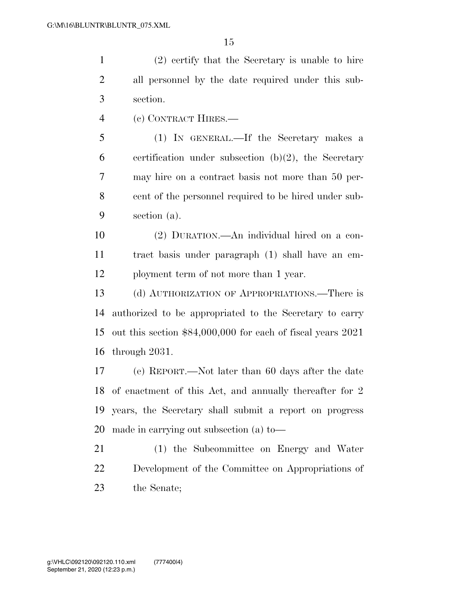(2) certify that the Secretary is unable to hire all personnel by the date required under this sub-section.

(c) CONTRACT HIRES.—

 (1) IN GENERAL.—If the Secretary makes a 6 certification under subsection  $(b)(2)$ , the Secretary may hire on a contract basis not more than 50 per- cent of the personnel required to be hired under sub-section (a).

 (2) DURATION.—An individual hired on a con- tract basis under paragraph (1) shall have an em-ployment term of not more than 1 year.

 (d) AUTHORIZATION OF APPROPRIATIONS.—There is authorized to be appropriated to the Secretary to carry out this section \$84,000,000 for each of fiscal years 2021 through 2031.

 (e) REPORT.—Not later than 60 days after the date of enactment of this Act, and annually thereafter for 2 years, the Secretary shall submit a report on progress made in carrying out subsection (a) to—

 (1) the Subcommittee on Energy and Water Development of the Committee on Appropriations of the Senate;